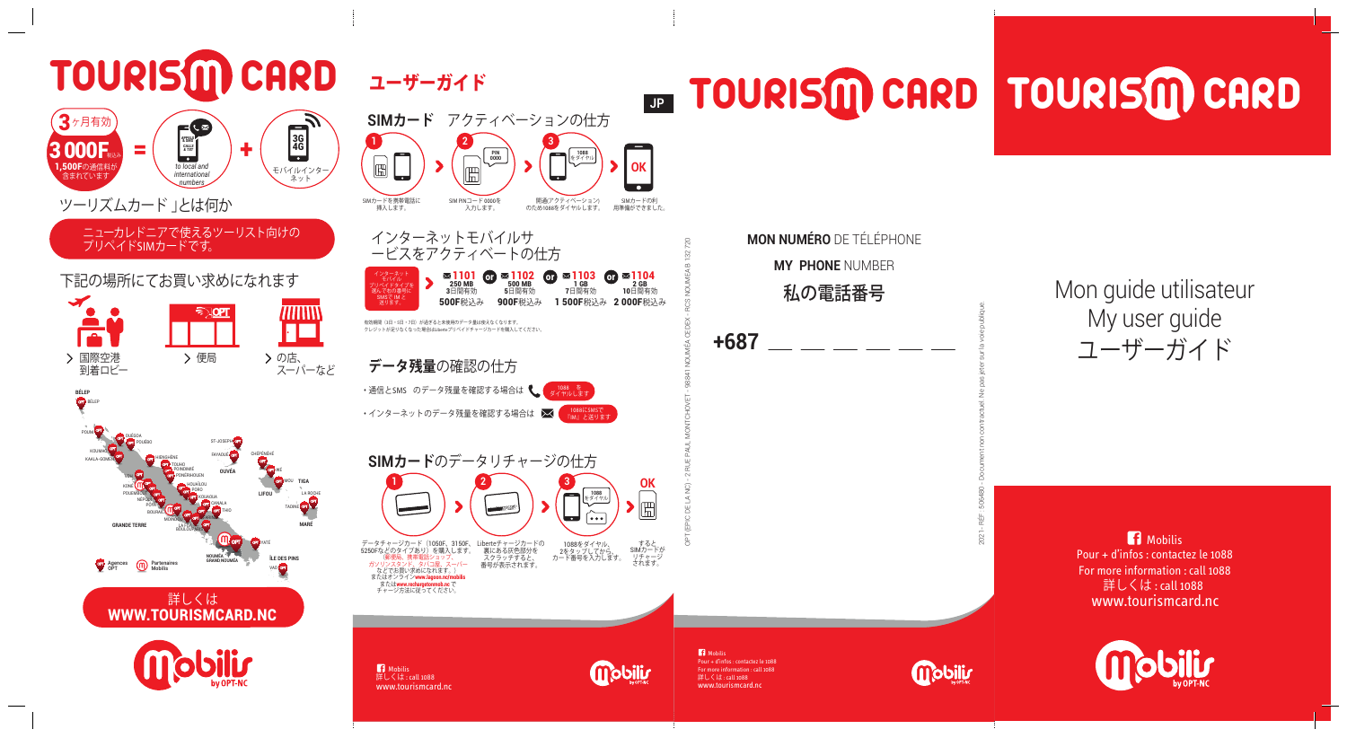**H** Mobilis Pour + d'infos : contactez le 1088 For more information : call 1088 **詳しくは: call 1088** www.tourismcard.nc



## Mon guide utilisateur My user guide ユーザーガイド

2021- RÉF : 506480 - Document non contractuel. Ne pas jeter sur la voie publique.